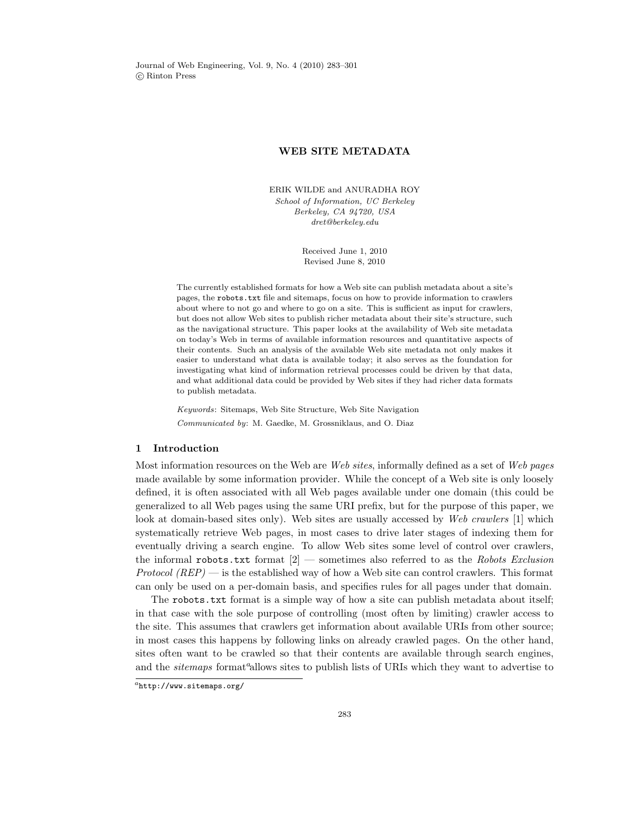Journal of Web Engineering, Vol. 9, No. 4 (2010) 283–301 c Rinton Press

# WEB SITE METADATA

ERIK WILDE and ANURADHA ROY School of Information, UC Berkeley Berkeley, CA 94720, USA dret@berkeley.edu

> Received June 1, 2010 Revised June 8, 2010

The currently established formats for how a Web site can publish metadata about a site's pages, the robots.txt file and sitemaps, focus on how to provide information to crawlers about where to not go and where to go on a site. This is sufficient as input for crawlers, but does not allow Web sites to publish richer metadata about their site's structure, such as the navigational structure. This paper looks at the availability of Web site metadata on today's Web in terms of available information resources and quantitative aspects of their contents. Such an analysis of the available Web site metadata not only makes it easier to understand what data is available today; it also serves as the foundation for investigating what kind of information retrieval processes could be driven by that data, and what additional data could be provided by Web sites if they had richer data formats to publish metadata.

Keywords: Sitemaps, Web Site Structure, Web Site Navigation Communicated by: M. Gaedke, M. Grossniklaus, and O. Diaz

### 1 Introduction

Most information resources on the Web are Web sites, informally defined as a set of Web pages made available by some information provider. While the concept of a Web site is only loosely defined, it is often associated with all Web pages available under one domain (this could be generalized to all Web pages using the same URI prefix, but for the purpose of this paper, we look at domain-based sites only). Web sites are usually accessed by Web crawlers [1] which systematically retrieve Web pages, in most cases to drive later stages of indexing them for eventually driving a search engine. To allow Web sites some level of control over crawlers, the informal robots.txt format  $[2]$  — sometimes also referred to as the Robots Exclusion Protocol  $(REP)$  — is the established way of how a Web site can control crawlers. This format can only be used on a per-domain basis, and specifies rules for all pages under that domain.

The robots.txt format is a simple way of how a site can publish metadata about itself; in that case with the sole purpose of controlling (most often by limiting) crawler access to the site. This assumes that crawlers get information about available URIs from other source; in most cases this happens by following links on already crawled pages. On the other hand, sites often want to be crawled so that their contents are available through search engines, and the *sitemaps* format<sup>*a*</sup> allows sites to publish lists of URIs which they want to advertise to

 $a$ http://www.sitemaps.org/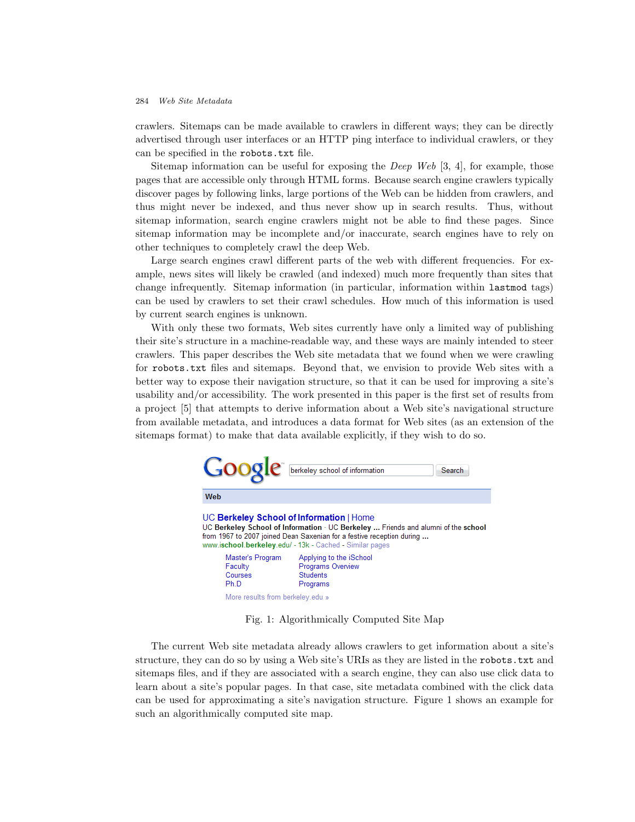crawlers. Sitemaps can be made available to crawlers in different ways; they can be directly advertised through user interfaces or an HTTP ping interface to individual crawlers, or they can be specified in the robots.txt file.

Sitemap information can be useful for exposing the *Deep Web*  $[3, 4]$ , for example, those pages that are accessible only through HTML forms. Because search engine crawlers typically discover pages by following links, large portions of the Web can be hidden from crawlers, and thus might never be indexed, and thus never show up in search results. Thus, without sitemap information, search engine crawlers might not be able to find these pages. Since sitemap information may be incomplete and/or inaccurate, search engines have to rely on other techniques to completely crawl the deep Web.

Large search engines crawl different parts of the web with different frequencies. For example, news sites will likely be crawled (and indexed) much more frequently than sites that change infrequently. Sitemap information (in particular, information within lastmod tags) can be used by crawlers to set their crawl schedules. How much of this information is used by current search engines is unknown.

With only these two formats, Web sites currently have only a limited way of publishing their site's structure in a machine-readable way, and these ways are mainly intended to steer crawlers. This paper describes the Web site metadata that we found when we were crawling for robots.txt files and sitemaps. Beyond that, we envision to provide Web sites with a better way to expose their navigation structure, so that it can be used for improving a site's usability and/or accessibility. The work presented in this paper is the first set of results from a project [5] that attempts to derive information about a Web site's navigational structure from available metadata, and introduces a data format for Web sites (as an extension of the sitemaps format) to make that data available explicitly, if they wish to do so.



Fig. 1: Algorithmically Computed Site Map

The current Web site metadata already allows crawlers to get information about a site's structure, they can do so by using a Web site's URIs as they are listed in the robots.txt and sitemaps files, and if they are associated with a search engine, they can also use click data to learn about a site's popular pages. In that case, site metadata combined with the click data can be used for approximating a site's navigation structure. Figure 1 shows an example for such an algorithmically computed site map.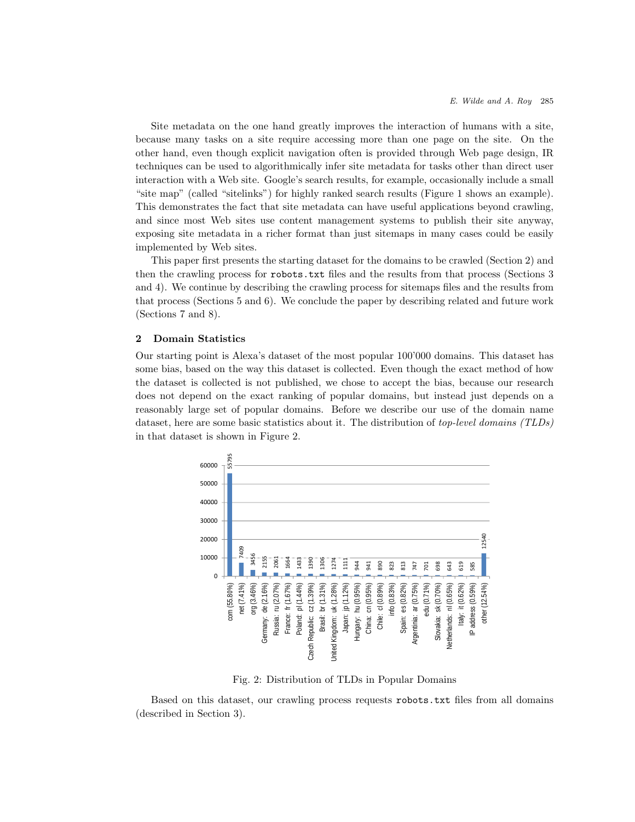Site metadata on the one hand greatly improves the interaction of humans with a site, because many tasks on a site require accessing more than one page on the site. On the other hand, even though explicit navigation often is provided through Web page design, IR techniques can be used to algorithmically infer site metadata for tasks other than direct user interaction with a Web site. Google's search results, for example, occasionally include a small "site map" (called "sitelinks") for highly ranked search results (Figure 1 shows an example). This demonstrates the fact that site metadata can have useful applications beyond crawling, and since most Web sites use content management systems to publish their site anyway, exposing site metadata in a richer format than just sitemaps in many cases could be easily implemented by Web sites.

This paper first presents the starting dataset for the domains to be crawled (Section 2) and then the crawling process for robots.txt files and the results from that process (Sections 3 and 4). We continue by describing the crawling process for sitemaps files and the results from that process (Sections 5 and 6). We conclude the paper by describing related and future work (Sections 7 and 8).

## 2 Domain Statistics

Our starting point is Alexa's dataset of the most popular 100'000 domains. This dataset has some bias, based on the way this dataset is collected. Even though the exact method of how the dataset is collected is not published, we chose to accept the bias, because our research does not depend on the exact ranking of popular domains, but instead just depends on a reasonably large set of popular domains. Before we describe our use of the domain name dataset, here are some basic statistics about it. The distribution of top-level domains (TLDs) in that dataset is shown in Figure 2.



Fig. 2: Distribution of TLDs in Popular Domains

Based on this dataset, our crawling process requests robots.txt files from all domains (described in Section 3).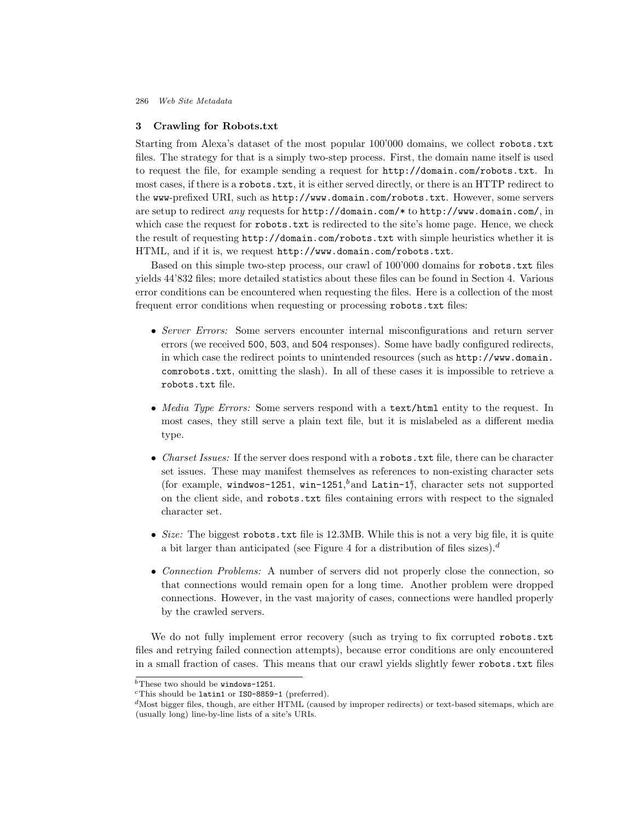# 3 Crawling for Robots.txt

Starting from Alexa's dataset of the most popular 100'000 domains, we collect robots.txt files. The strategy for that is a simply two-step process. First, the domain name itself is used to request the file, for example sending a request for http://domain.com/robots.txt. In most cases, if there is a robots.txt, it is either served directly, or there is an HTTP redirect to the www-prefixed URI, such as http://www.domain.com/robots.txt. However, some servers are setup to redirect any requests for http://domain.com/\* to http://www.domain.com/, in which case the request for robots.txt is redirected to the site's home page. Hence, we check the result of requesting http://domain.com/robots.txt with simple heuristics whether it is HTML, and if it is, we request http://www.domain.com/robots.txt.

Based on this simple two-step process, our crawl of 100'000 domains for robots.txt files yields 44'832 files; more detailed statistics about these files can be found in Section 4. Various error conditions can be encountered when requesting the files. Here is a collection of the most frequent error conditions when requesting or processing robots.txt files:

- Server Errors: Some servers encounter internal misconfigurations and return server errors (we received 500, 503, and 504 responses). Some have badly configured redirects, in which case the redirect points to unintended resources (such as http://www.domain. comrobots.txt, omitting the slash). In all of these cases it is impossible to retrieve a robots.txt file.
- Media Type Errors: Some servers respond with a text/html entity to the request. In most cases, they still serve a plain text file, but it is mislabeled as a different media type.
- Charset Issues: If the server does respond with a robots.txt file, there can be character set issues. These may manifest themselves as references to non-existing character sets (for example, windwos-1251, win-1251,<sup>b</sup> and Latin-1<sup>§</sup>, character sets not supported on the client side, and robots.txt files containing errors with respect to the signaled character set.
- Size: The biggest robots.txt file is 12.3MB. While this is not a very big file, it is quite a bit larger than anticipated (see Figure 4 for a distribution of files sizes).<sup>d</sup>
- Connection Problems: A number of servers did not properly close the connection, so that connections would remain open for a long time. Another problem were dropped connections. However, in the vast majority of cases, connections were handled properly by the crawled servers.

We do not fully implement error recovery (such as trying to fix corrupted robots.txt files and retrying failed connection attempts), because error conditions are only encountered in a small fraction of cases. This means that our crawl yields slightly fewer robots.txt files

 $^{b}$ These two should be windows-1251.

 ${}^c$ This should be latin1 or ISO-8859-1 (preferred).

 $d$ Most bigger files, though, are either HTML (caused by improper redirects) or text-based sitemaps, which are (usually long) line-by-line lists of a site's URIs.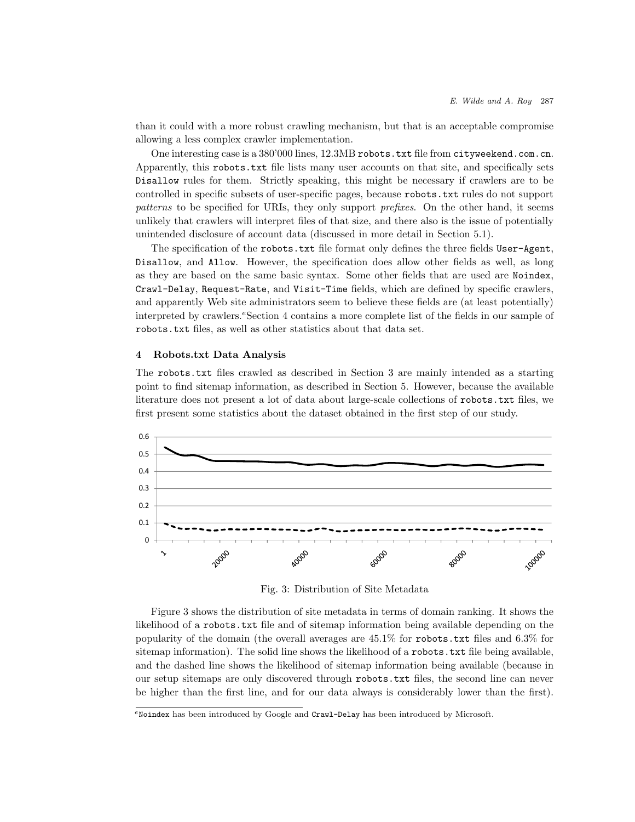than it could with a more robust crawling mechanism, but that is an acceptable compromise allowing a less complex crawler implementation.

One interesting case is a 380'000 lines, 12.3MB robots.txt file from cityweekend.com.cn. Apparently, this robots.txt file lists many user accounts on that site, and specifically sets Disallow rules for them. Strictly speaking, this might be necessary if crawlers are to be controlled in specific subsets of user-specific pages, because robots.txt rules do not support patterns to be specified for URIs, they only support prefixes. On the other hand, it seems unlikely that crawlers will interpret files of that size, and there also is the issue of potentially unintended disclosure of account data (discussed in more detail in Section 5.1).

The specification of the robots.txt file format only defines the three fields User-Agent, Disallow, and Allow. However, the specification does allow other fields as well, as long as they are based on the same basic syntax. Some other fields that are used are Noindex, Crawl-Delay, Request-Rate, and Visit-Time fields, which are defined by specific crawlers, and apparently Web site administrators seem to believe these fields are (at least potentially) interpreted by crawlers.<sup>e</sup>Section 4 contains a more complete list of the fields in our sample of robots.txt files, as well as other statistics about that data set.

### 4 Robots.txt Data Analysis

The robots.txt files crawled as described in Section 3 are mainly intended as a starting point to find sitemap information, as described in Section 5. However, because the available literature does not present a lot of data about large-scale collections of robots.txt files, we first present some statistics about the dataset obtained in the first step of our study.



Fig. 3: Distribution of Site Metadata

Figure 3 shows the distribution of site metadata in terms of domain ranking. It shows the likelihood of a robots.txt file and of sitemap information being available depending on the popularity of the domain (the overall averages are  $45.1\%$  for robots.txt files and  $6.3\%$  for sitemap information). The solid line shows the likelihood of a robots.txt file being available, and the dashed line shows the likelihood of sitemap information being available (because in our setup sitemaps are only discovered through robots.txt files, the second line can never be higher than the first line, and for our data always is considerably lower than the first).

eNoindex has been introduced by Google and Crawl-Delay has been introduced by Microsoft.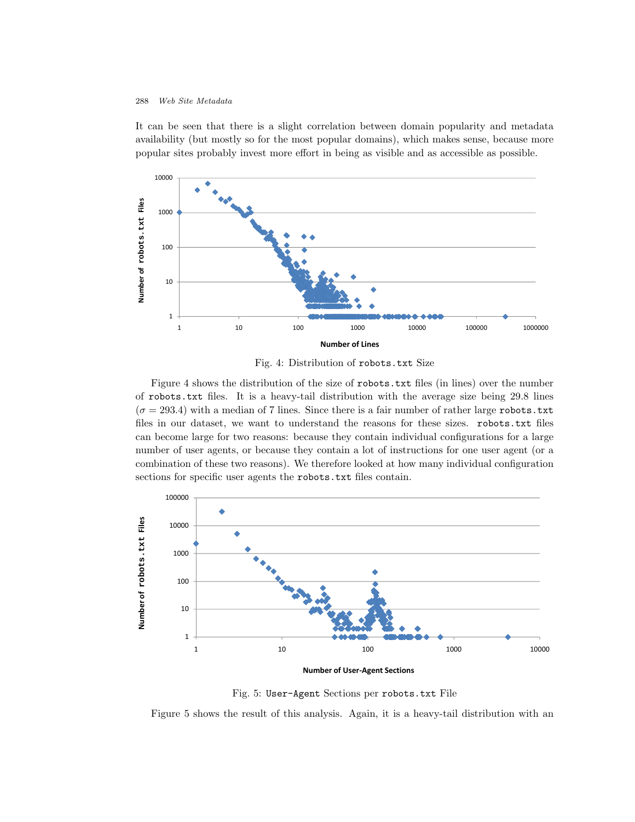It can be seen that there is a slight correlation between domain popularity and metadata availability (but mostly so for the most popular domains), which makes sense, because more popular sites probably invest more effort in being as visible and as accessible as possible.





Figure 4 shows the distribution of the size of robots.txt files (in lines) over the number of robots.txt files. It is a heavy-tail distribution with the average size being 29.8 lines  $(\sigma = 293.4)$  with a median of 7 lines. Since there is a fair number of rather large robots.txt files in our dataset, we want to understand the reasons for these sizes. robots.txt files can become large for two reasons: because they contain individual configurations for a large number of user agents, or because they contain a lot of instructions for one user agent (or a combination of these two reasons). We therefore looked at how many individual configuration sections for specific user agents the robots.txt files contain.



Fig. 5: User-Agent Sections per robots.txt File

Figure 5 shows the result of this analysis. Again, it is a heavy-tail distribution with an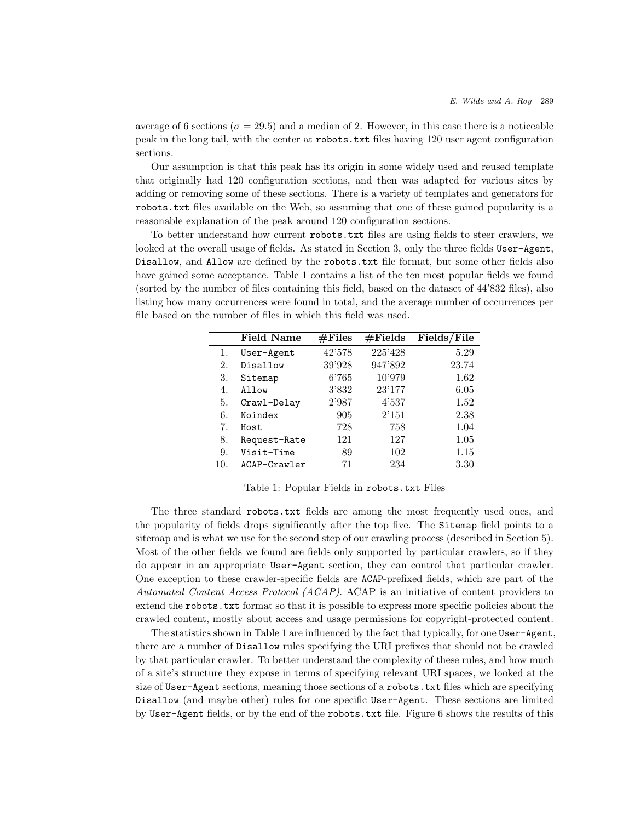average of 6 sections ( $\sigma = 29.5$ ) and a median of 2. However, in this case there is a noticeable peak in the long tail, with the center at robots.txt files having 120 user agent configuration sections.

Our assumption is that this peak has its origin in some widely used and reused template that originally had 120 configuration sections, and then was adapted for various sites by adding or removing some of these sections. There is a variety of templates and generators for robots.txt files available on the Web, so assuming that one of these gained popularity is a reasonable explanation of the peak around 120 configuration sections.

To better understand how current robots.txt files are using fields to steer crawlers, we looked at the overall usage of fields. As stated in Section 3, only the three fields User-Agent, Disallow, and Allow are defined by the robots.txt file format, but some other fields also have gained some acceptance. Table 1 contains a list of the ten most popular fields we found (sorted by the number of files containing this field, based on the dataset of 44'832 files), also listing how many occurrences were found in total, and the average number of occurrences per file based on the number of files in which this field was used.

|     | <b>Field Name</b> | #Files | $\#\text{Fields}$ | Fields/File |
|-----|-------------------|--------|-------------------|-------------|
| 1.  | User-Agent        | 42'578 | 225'428           | 5.29        |
| 2.  | Disallow          | 39'928 | 947'892           | 23.74       |
| 3.  | Sitemap           | 6'765  | 10'979            | 1.62        |
| 4.  | Allow             | 3'832  | 23'177            | 6.05        |
| 5.  | Crawl-Delay       | 2'987  | 4'537             | 1.52        |
| 6.  | Noindex           | 905    | 2'151             | 2.38        |
| 7.  | Host.             | 728    | 758               | 1.04        |
| 8.  | Request-Rate      | 121    | 127               | 1.05        |
| 9.  | Visit-Time        | 89     | 102               | 1.15        |
| 10. | ACAP-Crawler      | 71     | 234               | 3.30        |

Table 1: Popular Fields in robots.txt Files

The three standard robots.txt fields are among the most frequently used ones, and the popularity of fields drops significantly after the top five. The Sitemap field points to a sitemap and is what we use for the second step of our crawling process (described in Section 5). Most of the other fields we found are fields only supported by particular crawlers, so if they do appear in an appropriate User-Agent section, they can control that particular crawler. One exception to these crawler-specific fields are ACAP-prefixed fields, which are part of the Automated Content Access Protocol (ACAP). ACAP is an initiative of content providers to extend the robots.txt format so that it is possible to express more specific policies about the crawled content, mostly about access and usage permissions for copyright-protected content.

The statistics shown in Table 1 are influenced by the fact that typically, for one User-Agent, there are a number of Disallow rules specifying the URI prefixes that should not be crawled by that particular crawler. To better understand the complexity of these rules, and how much of a site's structure they expose in terms of specifying relevant URI spaces, we looked at the size of User-Agent sections, meaning those sections of a robots.txt files which are specifying Disallow (and maybe other) rules for one specific User-Agent. These sections are limited by User-Agent fields, or by the end of the robots.txt file. Figure 6 shows the results of this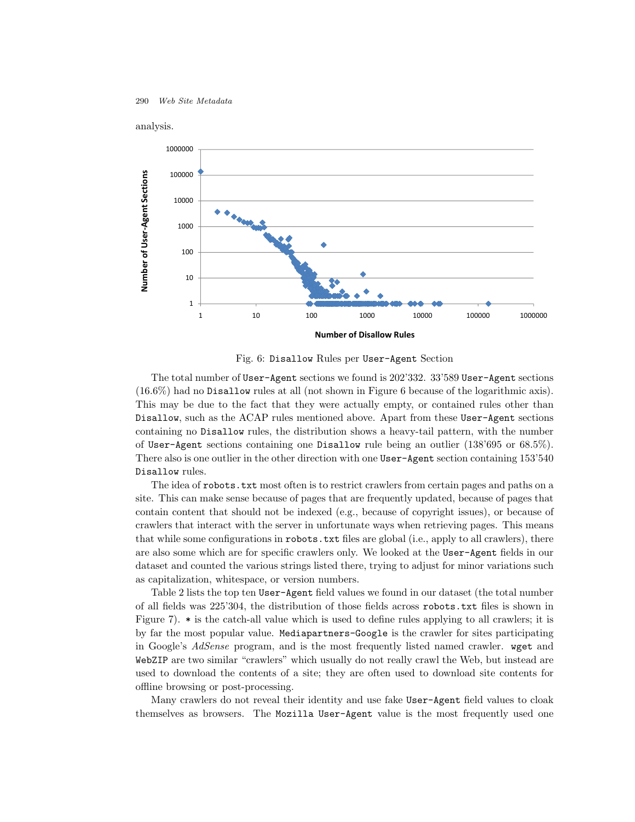

Fig. 6: Disallow Rules per User-Agent Section

The total number of User-Agent sections we found is 202'332. 33'589 User-Agent sections (16.6%) had no Disallow rules at all (not shown in Figure 6 because of the logarithmic axis). This may be due to the fact that they were actually empty, or contained rules other than Disallow, such as the ACAP rules mentioned above. Apart from these User-Agent sections containing no Disallow rules, the distribution shows a heavy-tail pattern, with the number of User-Agent sections containing one Disallow rule being an outlier (138'695 or 68.5%). There also is one outlier in the other direction with one User-Agent section containing 153'540 Disallow rules.

The idea of robots.txt most often is to restrict crawlers from certain pages and paths on a site. This can make sense because of pages that are frequently updated, because of pages that contain content that should not be indexed (e.g., because of copyright issues), or because of crawlers that interact with the server in unfortunate ways when retrieving pages. This means that while some configurations in robots.txt files are global (i.e., apply to all crawlers), there are also some which are for specific crawlers only. We looked at the User-Agent fields in our dataset and counted the various strings listed there, trying to adjust for minor variations such as capitalization, whitespace, or version numbers.

Table 2 lists the top ten User-Agent field values we found in our dataset (the total number of all fields was 225'304, the distribution of those fields across robots.txt files is shown in Figure 7). \* is the catch-all value which is used to define rules applying to all crawlers; it is by far the most popular value. Mediapartners-Google is the crawler for sites participating in Google's AdSense program, and is the most frequently listed named crawler. wget and WebZIP are two similar "crawlers" which usually do not really crawl the Web, but instead are used to download the contents of a site; they are often used to download site contents for offline browsing or post-processing.

Many crawlers do not reveal their identity and use fake User-Agent field values to cloak themselves as browsers. The Mozilla User-Agent value is the most frequently used one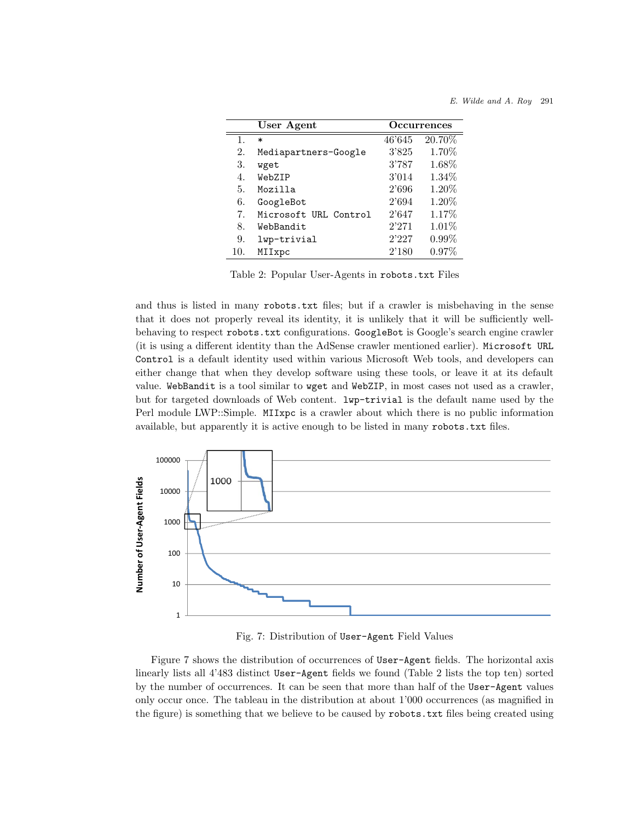|     | User Agent            |        | <b>Occurrences</b> |
|-----|-----------------------|--------|--------------------|
| 1.  | $\ast$                | 46'645 | 20.70%             |
| 2.  | Mediapartners-Google  | 3'825  | 1.70%              |
| 3.  | wget                  | 3'787  | 1.68%              |
| 4.  | WebZTP                | 3'014  | 1.34%              |
| 5.  | Mozilla               | 2'696  | 1.20%              |
| 6.  | GoogleBot             | 2'694  | 1.20%              |
| 7.  | Microsoft URL Control | 2'647  | 1.17%              |
| 8.  | WebBandit             | 2'271  | 1.01%              |
| 9.  | lwp-trivial           | 2'227  | $0.99\%$           |
| 10. | MIIxpc                | 2'180  | 0.97%              |

Table 2: Popular User-Agents in robots.txt Files

and thus is listed in many robots.txt files; but if a crawler is misbehaving in the sense that it does not properly reveal its identity, it is unlikely that it will be sufficiently wellbehaving to respect robots.txt configurations. GoogleBot is Google's search engine crawler (it is using a different identity than the AdSense crawler mentioned earlier). Microsoft URL Control is a default identity used within various Microsoft Web tools, and developers can either change that when they develop software using these tools, or leave it at its default value. WebBandit is a tool similar to wget and WebZIP, in most cases not used as a crawler, but for targeted downloads of Web content. lwp-trivial is the default name used by the Perl module LWP::Simple. MIIxpc is a crawler about which there is no public information available, but apparently it is active enough to be listed in many robots.txt files.



Fig. 7: Distribution of User-Agent Field Values

Figure 7 shows the distribution of occurrences of User-Agent fields. The horizontal axis linearly lists all 4'483 distinct User-Agent fields we found (Table 2 lists the top ten) sorted by the number of occurrences. It can be seen that more than half of the User-Agent values only occur once. The tableau in the distribution at about 1'000 occurrences (as magnified in the figure) is something that we believe to be caused by robots.txt files being created using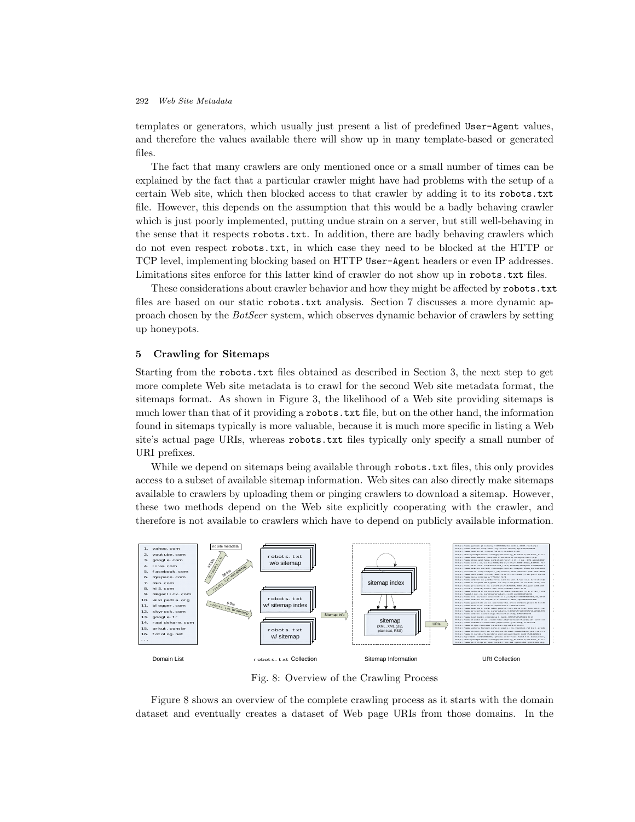templates or generators, which usually just present a list of predefined User-Agent values, and therefore the values available there will show up in many template-based or generated files.

The fact that many crawlers are only mentioned once or a small number of times can be explained by the fact that a particular crawler might have had problems with the setup of a certain Web site, which then blocked access to that crawler by adding it to its robots.txt file. However, this depends on the assumption that this would be a badly behaving crawler which is just poorly implemented, putting undue strain on a server, but still well-behaving in the sense that it respects robots.txt. In addition, there are badly behaving crawlers which do not even respect robots.txt, in which case they need to be blocked at the HTTP or TCP level, implementing blocking based on HTTP User-Agent headers or even IP addresses. Limitations sites enforce for this latter kind of crawler do not show up in robots.txt files.

These considerations about crawler behavior and how they might be affected by robots.txt files are based on our static robots.txt analysis. Section 7 discusses a more dynamic approach chosen by the BotSeer system, which observes dynamic behavior of crawlers by setting up honeypots.

# 5 Crawling for Sitemaps

Starting from the robots.txt files obtained as described in Section 3, the next step to get more complete Web site metadata is to crawl for the second Web site metadata format, the sitemaps format. As shown in Figure 3, the likelihood of a Web site providing sitemaps is much lower than that of it providing a robots.txt file, but on the other hand, the information found in sitemaps typically is more valuable, because it is much more specific in listing a Web site's actual page URIs, whereas robots.txt files typically only specify a small number of URI prefixes.

While we depend on sitemaps being available through robots.txt files, this only provides access to a subset of available sitemap information. Web sites can also directly make sitemaps available to crawlers by uploading them or pinging crawlers to download a sitemap. However, these two methods depend on the Web site explicitly cooperating with the crawler, and therefore is not available to crawlers which have to depend on publicly available information.



Fig. 8: Overview of the Crawling Process

Figure 8 shows an overview of the complete crawling process as it starts with the domain dataset and eventually creates a dataset of Web page URIs from those domains. In the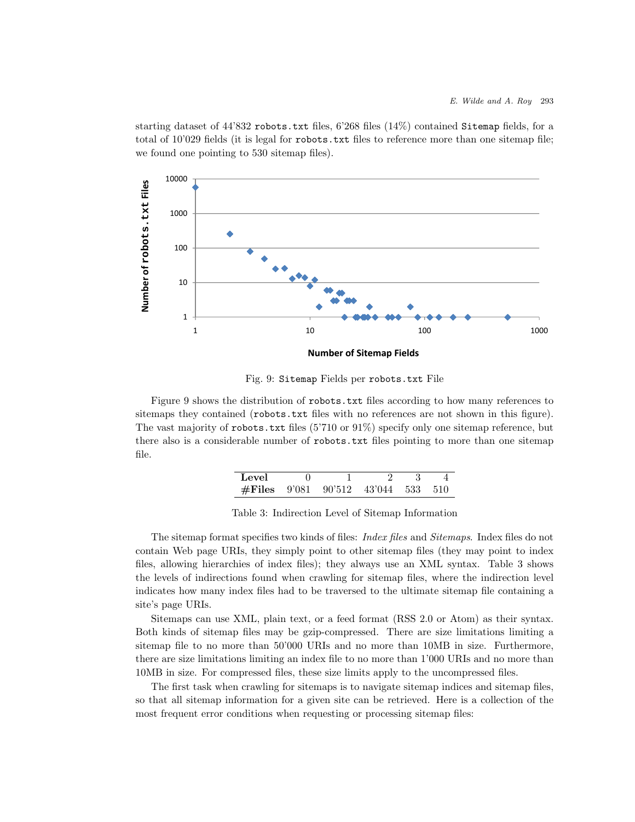starting dataset of 44'832 robots.txt files, 6'268 files (14%) contained Sitemap fields, for a total of 10'029 fields (it is legal for robots.txt files to reference more than one sitemap file; we found one pointing to 530 sitemap files).



Fig. 9: Sitemap Fields per robots.txt File

Figure 9 shows the distribution of robots.txt files according to how many references to sitemaps they contained (robots.txt files with no references are not shown in this figure). The vast majority of robots.txt files (5'710 or 91%) specify only one sitemap reference, but there also is a considerable number of robots.txt files pointing to more than one sitemap file.

| Level                                  |  |  |  |
|----------------------------------------|--|--|--|
| $\#$ Files 9'081 90'512 43'044 533 510 |  |  |  |

Table 3: Indirection Level of Sitemap Information

The sitemap format specifies two kinds of files: Index files and Sitemaps. Index files do not contain Web page URIs, they simply point to other sitemap files (they may point to index files, allowing hierarchies of index files); they always use an XML syntax. Table 3 shows the levels of indirections found when crawling for sitemap files, where the indirection level indicates how many index files had to be traversed to the ultimate sitemap file containing a site's page URIs.

Sitemaps can use XML, plain text, or a feed format (RSS 2.0 or Atom) as their syntax. Both kinds of sitemap files may be gzip-compressed. There are size limitations limiting a sitemap file to no more than 50'000 URIs and no more than 10MB in size. Furthermore, there are size limitations limiting an index file to no more than 1'000 URIs and no more than 10MB in size. For compressed files, these size limits apply to the uncompressed files.

The first task when crawling for sitemaps is to navigate sitemap indices and sitemap files, so that all sitemap information for a given site can be retrieved. Here is a collection of the most frequent error conditions when requesting or processing sitemap files: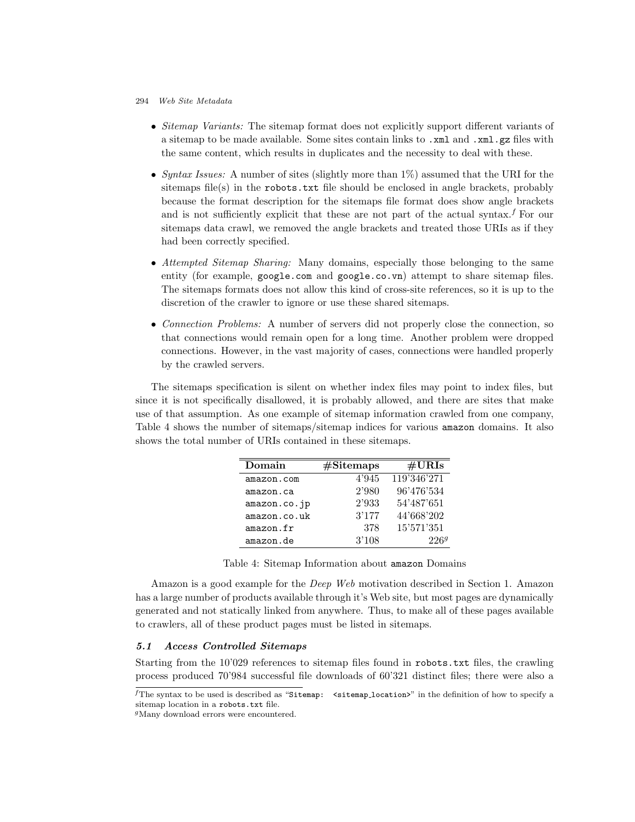- Sitemap Variants: The sitemap format does not explicitly support different variants of a sitemap to be made available. Some sites contain links to .xml and .xml.gz files with the same content, which results in duplicates and the necessity to deal with these.
- Syntax Issues: A number of sites (slightly more than  $1\%$ ) assumed that the URI for the sitemaps file(s) in the robots.txt file should be enclosed in angle brackets, probably because the format description for the sitemaps file format does show angle brackets and is not sufficiently explicit that these are not part of the actual syntax.<sup> $f$ </sup> For our sitemaps data crawl, we removed the angle brackets and treated those URIs as if they had been correctly specified.
- Attempted Sitemap Sharing: Many domains, especially those belonging to the same entity (for example, google.com and google.co.vn) attempt to share sitemap files. The sitemaps formats does not allow this kind of cross-site references, so it is up to the discretion of the crawler to ignore or use these shared sitemaps.
- Connection Problems: A number of servers did not properly close the connection, so that connections would remain open for a long time. Another problem were dropped connections. However, in the vast majority of cases, connections were handled properly by the crawled servers.

The sitemaps specification is silent on whether index files may point to index files, but since it is not specifically disallowed, it is probably allowed, and there are sites that make use of that assumption. As one example of sitemap information crawled from one company, Table 4 shows the number of sitemaps/sitemap indices for various amazon domains. It also shows the total number of URIs contained in these sitemaps.

| Domain       | $# \text{Sitemaps}$ | $\#\mathrm{URLS}$ |
|--------------|---------------------|-------------------|
| amazon.com   | 4'945               | 119'346'271       |
| amazon.ca    | 2'980               | 96'476'534        |
| amazon.co.jp | 2'933               | 54'487'651        |
| amazon.co.uk | 3'177               | 44'668'202        |
| amazon.fr    | 378                 | 15'571'351        |
| amazon.de    | 3'108               | 2269              |

Table 4: Sitemap Information about amazon Domains

Amazon is a good example for the Deep Web motivation described in Section 1. Amazon has a large number of products available through it's Web site, but most pages are dynamically generated and not statically linked from anywhere. Thus, to make all of these pages available to crawlers, all of these product pages must be listed in sitemaps.

### 5.1 Access Controlled Sitemaps

Starting from the 10'029 references to sitemap files found in robots.txt files, the crawling process produced 70'984 successful file downloads of 60'321 distinct files; there were also a

 ${}^f$ The syntax to be used is described as "Sitemap: <sitemap\_location>" in the definition of how to specify a sitemap location in a robots.txt file.

<sup>g</sup>Many download errors were encountered.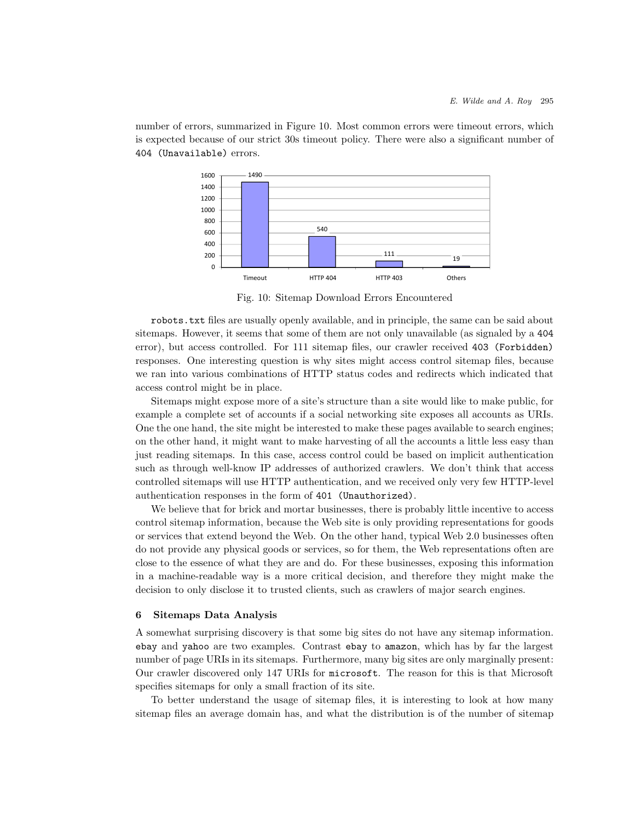number of errors, summarized in Figure 10. Most common errors were timeout errors, which is expected because of our strict 30s timeout policy. There were also a significant number of 404 (Unavailable) errors.



Fig. 10: Sitemap Download Errors Encountered

robots.txt files are usually openly available, and in principle, the same can be said about sitemaps. However, it seems that some of them are not only unavailable (as signaled by a 404 error), but access controlled. For 111 sitemap files, our crawler received 403 (Forbidden) responses. One interesting question is why sites might access control sitemap files, because we ran into various combinations of HTTP status codes and redirects which indicated that access control might be in place.

Sitemaps might expose more of a site's structure than a site would like to make public, for example a complete set of accounts if a social networking site exposes all accounts as URIs. One the one hand, the site might be interested to make these pages available to search engines; on the other hand, it might want to make harvesting of all the accounts a little less easy than just reading sitemaps. In this case, access control could be based on implicit authentication such as through well-know IP addresses of authorized crawlers. We don't think that access controlled sitemaps will use HTTP authentication, and we received only very few HTTP-level authentication responses in the form of 401 (Unauthorized).

We believe that for brick and mortar businesses, there is probably little incentive to access control sitemap information, because the Web site is only providing representations for goods or services that extend beyond the Web. On the other hand, typical Web 2.0 businesses often do not provide any physical goods or services, so for them, the Web representations often are close to the essence of what they are and do. For these businesses, exposing this information in a machine-readable way is a more critical decision, and therefore they might make the decision to only disclose it to trusted clients, such as crawlers of major search engines.

## 6 Sitemaps Data Analysis

A somewhat surprising discovery is that some big sites do not have any sitemap information. ebay and yahoo are two examples. Contrast ebay to amazon, which has by far the largest number of page URIs in its sitemaps. Furthermore, many big sites are only marginally present: Our crawler discovered only 147 URIs for microsoft. The reason for this is that Microsoft specifies sitemaps for only a small fraction of its site.

To better understand the usage of sitemap files, it is interesting to look at how many sitemap files an average domain has, and what the distribution is of the number of sitemap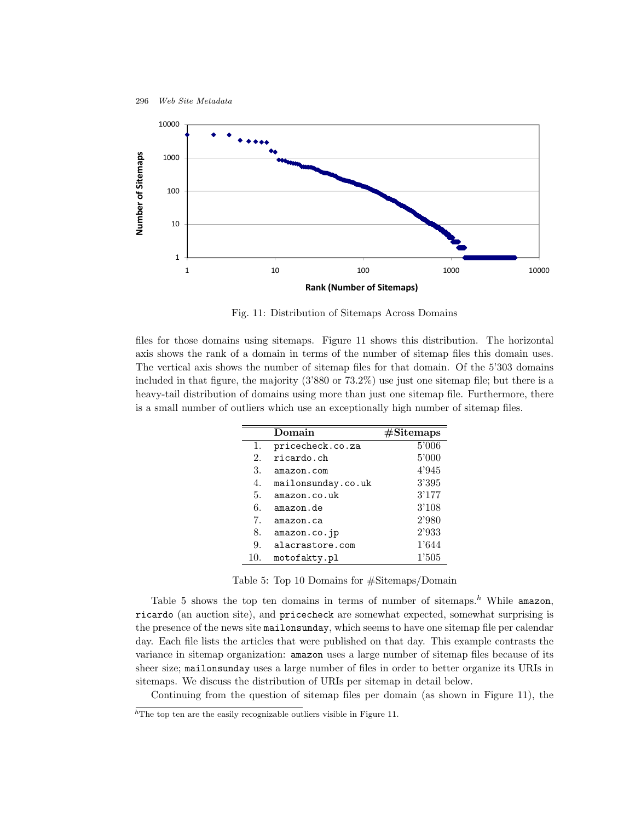

Fig. 11: Distribution of Sitemaps Across Domains

files for those domains using sitemaps. Figure 11 shows this distribution. The horizontal axis shows the rank of a domain in terms of the number of sitemap files this domain uses. The vertical axis shows the number of sitemap files for that domain. Of the 5'303 domains included in that figure, the majority (3'880 or 73.2%) use just one sitemap file; but there is a heavy-tail distribution of domains using more than just one sitemap file. Furthermore, there is a small number of outliers which use an exceptionally high number of sitemap files.

|     | Domain             | $\# \mathrm{Sitemaps}$ |
|-----|--------------------|------------------------|
| 1.  | pricecheck.co.za   | 5'006                  |
| 2.  | ricardo.ch         | 5'000                  |
| 3.  | amazon.com         | 4'945                  |
| 4.  | mailonsunday.co.uk | 3'395                  |
| 5.  | amazon.co.uk       | 3'177                  |
| 6.  | amazon.de          | 3'108                  |
| 7.  | amazon.ca          | 2'980                  |
| 8.  | amazon.co.jp       | 2'933                  |
| 9.  | alacrastore.com    | 1'644                  |
| 10. | motofakty.pl       | 1'505                  |

Table 5: Top 10 Domains for #Sitemaps/Domain

Table 5 shows the top ten domains in terms of number of sitemaps.<sup> $h$ </sup> While amazon, ricardo (an auction site), and pricecheck are somewhat expected, somewhat surprising is the presence of the news site mailonsunday, which seems to have one sitemap file per calendar day. Each file lists the articles that were published on that day. This example contrasts the variance in sitemap organization: amazon uses a large number of sitemap files because of its sheer size; mailonsunday uses a large number of files in order to better organize its URIs in sitemaps. We discuss the distribution of URIs per sitemap in detail below.

Continuing from the question of sitemap files per domain (as shown in Figure 11), the

 $h$ The top ten are the easily recognizable outliers visible in Figure 11.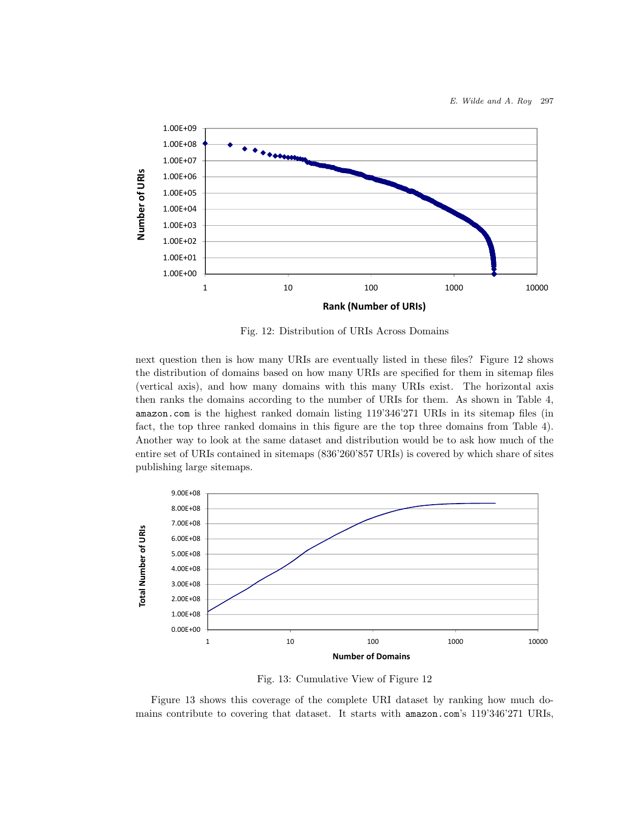



Fig. 12: Distribution of URIs Across Domains

next question then is how many URIs are eventually listed in these files? Figure 12 shows the distribution of domains based on how many URIs are specified for them in sitemap files (vertical axis), and how many domains with this many URIs exist. The horizontal axis then ranks the domains according to the number of URIs for them. As shown in Table 4, amazon.com is the highest ranked domain listing 119'346'271 URIs in its sitemap files (in fact, the top three ranked domains in this figure are the top three domains from Table 4). Another way to look at the same dataset and distribution would be to ask how much of the entire set of URIs contained in sitemaps (836'260'857 URIs) is covered by which share of sites publishing large sitemaps.



Fig. 13: Cumulative View of Figure 12

Figure 13 shows this coverage of the complete URI dataset by ranking how much domains contribute to covering that dataset. It starts with amazon.com's 119'346'271 URIs,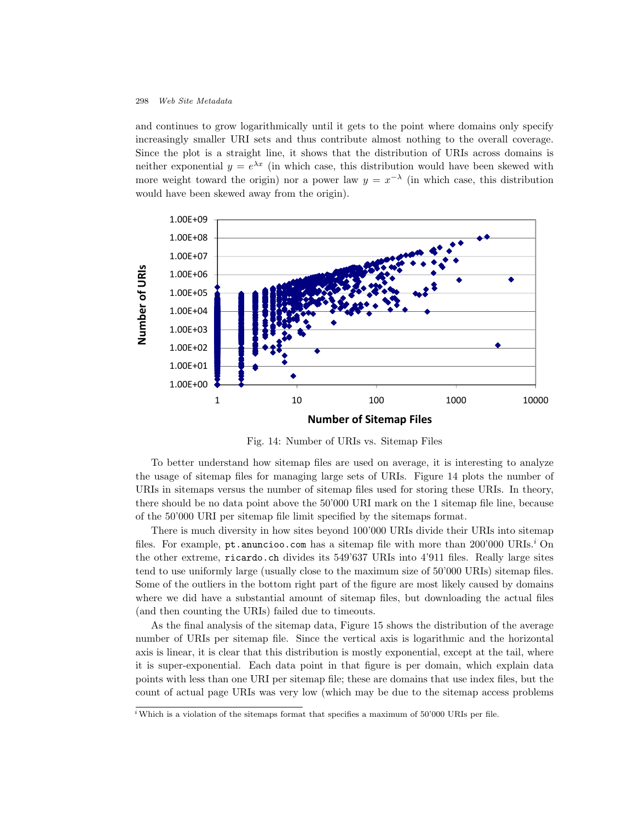and continues to grow logarithmically until it gets to the point where domains only specify increasingly smaller URI sets and thus contribute almost nothing to the overall coverage. Since the plot is a straight line, it shows that the distribution of URIs across domains is neither exponential  $y = e^{\lambda x}$  (in which case, this distribution would have been skewed with more weight toward the origin) nor a power law  $y = x^{-\lambda}$  (in which case, this distribution would have been skewed away from the origin).



Fig. 14: Number of URIs vs. Sitemap Files

To better understand how sitemap files are used on average, it is interesting to analyze the usage of sitemap files for managing large sets of URIs. Figure 14 plots the number of URIs in sitemaps versus the number of sitemap files used for storing these URIs. In theory, there should be no data point above the 50'000 URI mark on the 1 sitemap file line, because of the 50'000 URI per sitemap file limit specified by the sitemaps format.

There is much diversity in how sites beyond 100'000 URIs divide their URIs into sitemap files. For example, pt.anuncioo.com has a sitemap file with more than  $200'000 \text{ URLs}$ .<sup>i</sup> On the other extreme, ricardo.ch divides its 549'637 URIs into 4'911 files. Really large sites tend to use uniformly large (usually close to the maximum size of 50'000 URIs) sitemap files. Some of the outliers in the bottom right part of the figure are most likely caused by domains where we did have a substantial amount of sitemap files, but downloading the actual files (and then counting the URIs) failed due to timeouts.

As the final analysis of the sitemap data, Figure 15 shows the distribution of the average number of URIs per sitemap file. Since the vertical axis is logarithmic and the horizontal axis is linear, it is clear that this distribution is mostly exponential, except at the tail, where it is super-exponential. Each data point in that figure is per domain, which explain data points with less than one URI per sitemap file; these are domains that use index files, but the count of actual page URIs was very low (which may be due to the sitemap access problems

 $i$ Which is a violation of the sitemaps format that specifies a maximum of 50'000 URIs per file.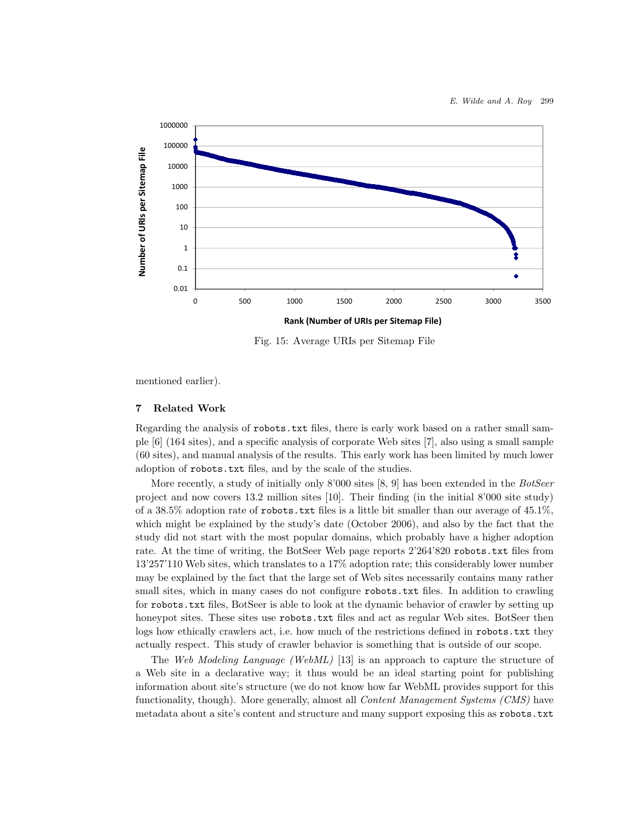



Fig. 15: Average URIs per Sitemap File

mentioned earlier).

## 7 Related Work

Regarding the analysis of robots.txt files, there is early work based on a rather small sample [6] (164 sites), and a specific analysis of corporate Web sites [7], also using a small sample (60 sites), and manual analysis of the results. This early work has been limited by much lower adoption of robots.txt files, and by the scale of the studies.

More recently, a study of initially only 8'000 sites [8, 9] has been extended in the BotSeer project and now covers 13.2 million sites [10]. Their finding (in the initial 8'000 site study) of a 38.5% adoption rate of robots.txt files is a little bit smaller than our average of  $45.1\%$ , which might be explained by the study's date (October 2006), and also by the fact that the study did not start with the most popular domains, which probably have a higher adoption rate. At the time of writing, the BotSeer Web page reports 2'264'820 robots.txt files from 13'257'110 Web sites, which translates to a 17% adoption rate; this considerably lower number may be explained by the fact that the large set of Web sites necessarily contains many rather small sites, which in many cases do not configure robots.txt files. In addition to crawling for robots.txt files, BotSeer is able to look at the dynamic behavior of crawler by setting up honeypot sites. These sites use robots.txt files and act as regular Web sites. BotSeer then logs how ethically crawlers act, i.e. how much of the restrictions defined in robots.txt they actually respect. This study of crawler behavior is something that is outside of our scope.

The Web Modeling Language (WebML) [13] is an approach to capture the structure of a Web site in a declarative way; it thus would be an ideal starting point for publishing information about site's structure (we do not know how far WebML provides support for this functionality, though). More generally, almost all *Content Management Systems (CMS)* have metadata about a site's content and structure and many support exposing this as robots.txt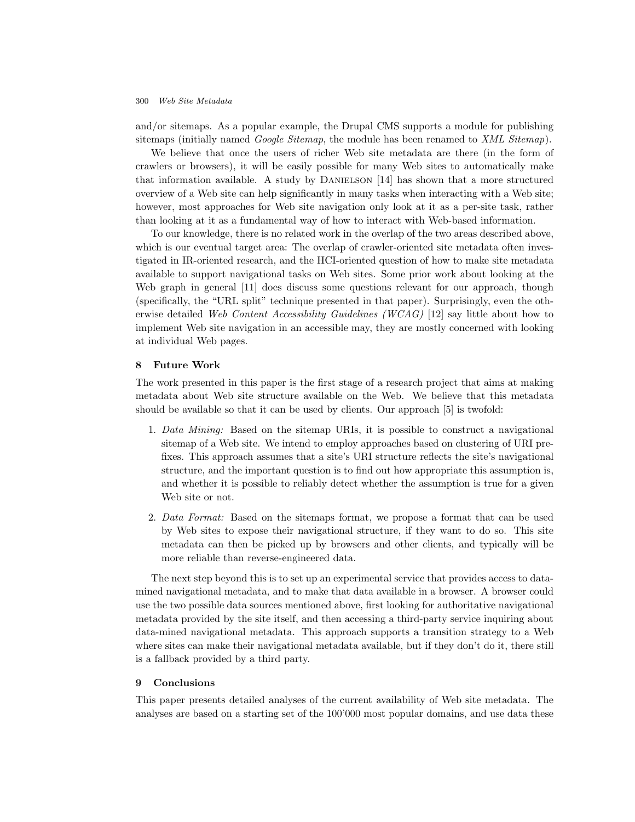and/or sitemaps. As a popular example, the Drupal CMS supports a module for publishing sitemaps (initially named *Google Sitemap*, the module has been renamed to XML Sitemap).

We believe that once the users of richer Web site metadata are there (in the form of crawlers or browsers), it will be easily possible for many Web sites to automatically make that information available. A study by DANIELSON  $[14]$  has shown that a more structured overview of a Web site can help significantly in many tasks when interacting with a Web site; however, most approaches for Web site navigation only look at it as a per-site task, rather than looking at it as a fundamental way of how to interact with Web-based information.

To our knowledge, there is no related work in the overlap of the two areas described above, which is our eventual target area: The overlap of crawler-oriented site metadata often investigated in IR-oriented research, and the HCI-oriented question of how to make site metadata available to support navigational tasks on Web sites. Some prior work about looking at the Web graph in general [11] does discuss some questions relevant for our approach, though (specifically, the "URL split" technique presented in that paper). Surprisingly, even the otherwise detailed Web Content Accessibility Guidelines (WCAG) [12] say little about how to implement Web site navigation in an accessible may, they are mostly concerned with looking at individual Web pages.

# 8 Future Work

The work presented in this paper is the first stage of a research project that aims at making metadata about Web site structure available on the Web. We believe that this metadata should be available so that it can be used by clients. Our approach [5] is twofold:

- 1. Data Mining: Based on the sitemap URIs, it is possible to construct a navigational sitemap of a Web site. We intend to employ approaches based on clustering of URI prefixes. This approach assumes that a site's URI structure reflects the site's navigational structure, and the important question is to find out how appropriate this assumption is, and whether it is possible to reliably detect whether the assumption is true for a given Web site or not.
- 2. Data Format: Based on the sitemaps format, we propose a format that can be used by Web sites to expose their navigational structure, if they want to do so. This site metadata can then be picked up by browsers and other clients, and typically will be more reliable than reverse-engineered data.

The next step beyond this is to set up an experimental service that provides access to datamined navigational metadata, and to make that data available in a browser. A browser could use the two possible data sources mentioned above, first looking for authoritative navigational metadata provided by the site itself, and then accessing a third-party service inquiring about data-mined navigational metadata. This approach supports a transition strategy to a Web where sites can make their navigational metadata available, but if they don't do it, there still is a fallback provided by a third party.

## 9 Conclusions

This paper presents detailed analyses of the current availability of Web site metadata. The analyses are based on a starting set of the 100'000 most popular domains, and use data these